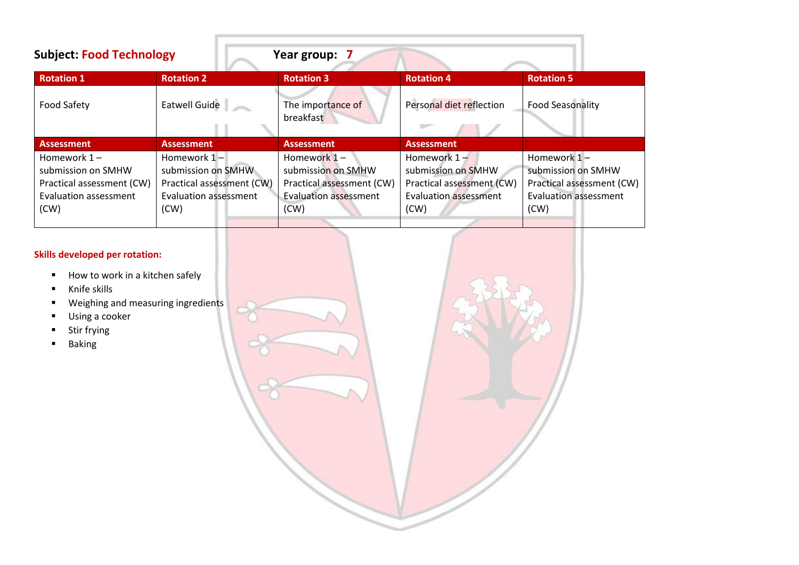| <b>Subject: Food Technology</b>                                                                    |                                                                                                 | Year group: 7                                                                                     |                                                                                                           |                                                                                                        |
|----------------------------------------------------------------------------------------------------|-------------------------------------------------------------------------------------------------|---------------------------------------------------------------------------------------------------|-----------------------------------------------------------------------------------------------------------|--------------------------------------------------------------------------------------------------------|
| <b>Rotation 1</b>                                                                                  | <b>Rotation 2</b>                                                                               | <b>Rotation 3</b>                                                                                 | <b>Rotation 4</b>                                                                                         | <b>Rotation 5</b>                                                                                      |
| <b>Food Safety</b>                                                                                 | Eatwell Guide                                                                                   | The importance of<br>breakfast                                                                    | Personal diet reflection                                                                                  | <b>Food Seasonality</b>                                                                                |
| <b>Assessment</b>                                                                                  | <b>Assessment</b>                                                                               | <b>Assessment</b>                                                                                 | <b>Assessment</b>                                                                                         |                                                                                                        |
| Homework $1 -$<br>submission on SMHW<br>Practical assessment (CW)<br>Evaluation assessment<br>(CW) | Homework 1-<br>submission on SMHW<br>Practical assessment (CW)<br>Evaluation assessment<br>(CW) | Homework $1-$<br>submission on SMHW<br>Practical assessment (CW)<br>Evaluation assessment<br>(CW) | Homework $1 -$<br>submission on SMHW<br>Practical assessment (CW)<br><b>Evaluation assessment</b><br>(CW) | Homework 1-<br>submission on SMHW<br>Practical assessment (CW)<br><b>Evaluation assessment</b><br>(CW) |

### **Skills developed per rotation:**

- How to work in a kitchen safely
- Knife skills
- Weighing and measuring ingredients
- Using a cooker
- Stir frying
- Baking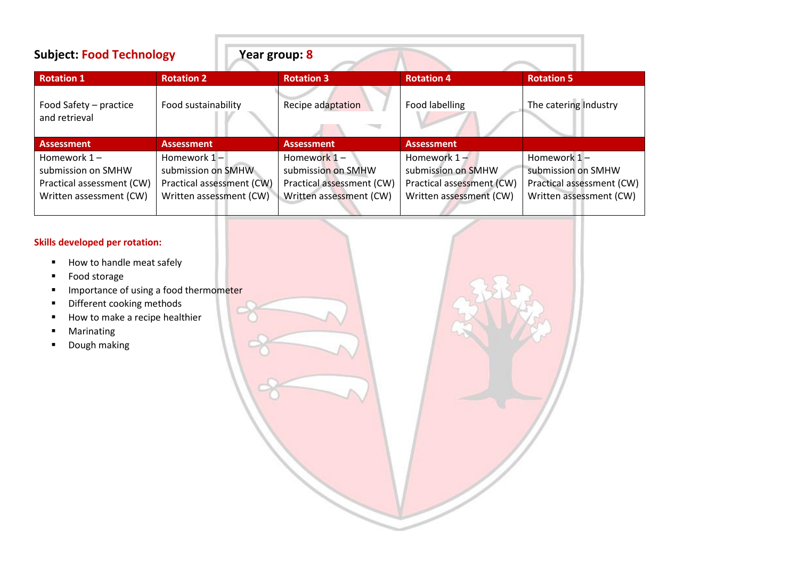| <b>Subject: Food Technology</b>                                   |                                                                   | Year group: 8                                                    |                                                                   |                                                                |
|-------------------------------------------------------------------|-------------------------------------------------------------------|------------------------------------------------------------------|-------------------------------------------------------------------|----------------------------------------------------------------|
| <b>Rotation 1</b>                                                 | <b>Rotation 2</b>                                                 | <b>Rotation 3</b>                                                | <b>Rotation 4</b>                                                 | <b>Rotation 5</b>                                              |
| Food Safety - practice<br>and retrieval                           | Food sustainability                                               | Recipe adaptation                                                | Food labelling                                                    | The catering Industry                                          |
| <b>Assessment</b>                                                 | <b>Assessment</b>                                                 | <b>Assessment</b>                                                | <b>Assessment</b>                                                 |                                                                |
| Homework $1 -$<br>submission on SMHW<br>Practical assessment (CW) | Homework $1 -$<br>submission on SMHW<br>Practical assessment (CW) | Homework $1-$<br>submission on SMHW<br>Practical assessment (CW) | Homework $1 -$<br>submission on SMHW<br>Practical assessment (CW) | Homework 1-<br>submission on SMHW<br>Practical assessment (CW) |
| Written assessment (CW)                                           | Written assessment (CW)                                           | Written assessment (CW)                                          | Written assessment (CW)                                           | Written assessment (CW)                                        |

### **Skills developed per rotation:**

- How to handle meat safely
- Food storage
- **■** Importance of using a food thermometer
- Different cooking methods
- How to make a recipe healthier
- Marinating
- Dough making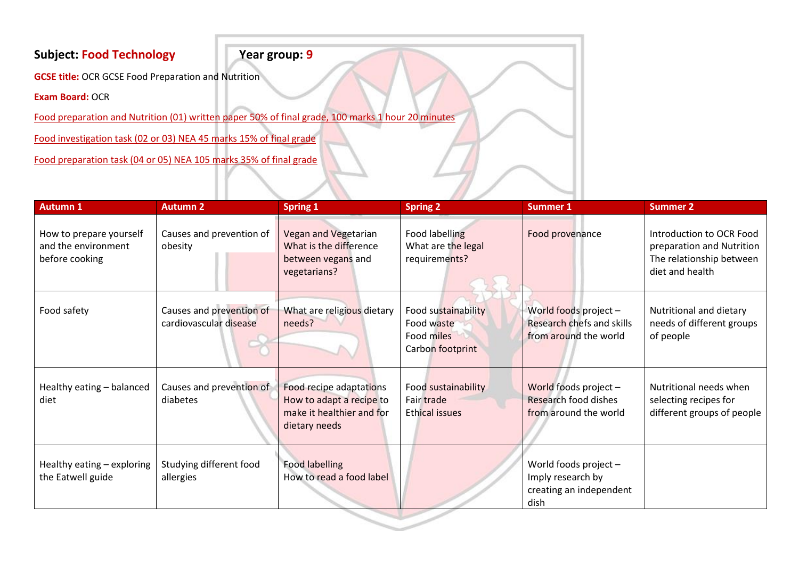# **Subject: Food Technology Year group: 9**

**GCSE title:** OCR GCSE Food Preparation and Nutrition

**Exam Board: OCR** 

Food preparation and Nutrition (01) written paper 50% of final grade, 100 marks 1 hour 20 minutes

Food investigation task (02 or 03) NEA 45 marks 15% of final grade

Food preparation task (04 or 05) NEA 105 marks 35% of final grade

| <b>Autumn 1</b>                                                  | <b>Autumn 2</b>                                    | <b>Spring 1</b>                                                                                   | <b>Spring 2</b>                                                     | <b>Summer 1</b>                                                                 | <b>Summer 2</b>                                                                                      |
|------------------------------------------------------------------|----------------------------------------------------|---------------------------------------------------------------------------------------------------|---------------------------------------------------------------------|---------------------------------------------------------------------------------|------------------------------------------------------------------------------------------------------|
| How to prepare yourself<br>and the environment<br>before cooking | Causes and prevention of<br>obesity                | Vegan and Vegetarian<br>What is the difference<br>between vegans and<br>vegetarians?              | Food labelling<br>What are the legal<br>requirements?               | Food provenance                                                                 | Introduction to OCR Food<br>preparation and Nutrition<br>The relationship between<br>diet and health |
| Food safety                                                      | Causes and prevention of<br>cardiovascular disease | What are religious dietary<br>needs?                                                              | Food sustainability<br>Food waste<br>Food miles<br>Carbon footprint | World foods project -<br>Research chefs and skills<br>from around the world     | Nutritional and dietary<br>needs of different groups<br>of people                                    |
| Healthy eating - balanced<br>diet                                | Causes and prevention of<br>diabetes               | Food recipe adaptations<br>How to adapt a recipe to<br>make it healthier and for<br>dietary needs | Food sustainability<br>Fair trade<br><b>Ethical issues</b>          | World foods project -<br><b>Research food dishes</b><br>from around the world   | Nutritional needs when<br>selecting recipes for<br>different groups of people                        |
| Healthy eating - exploring<br>the Eatwell guide                  | Studying different food<br>allergies               | <b>Food labelling</b><br>How to read a food label                                                 |                                                                     | World foods project $-$<br>Imply research by<br>creating an independent<br>dish |                                                                                                      |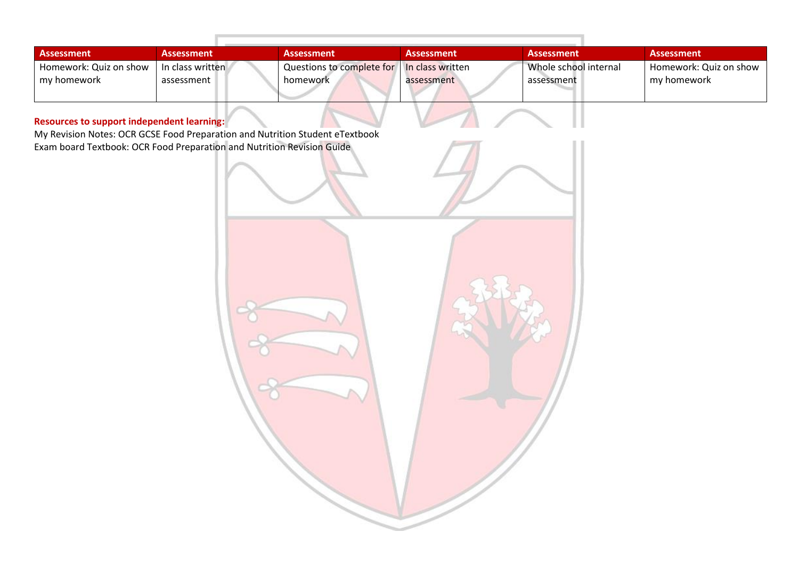| <b>Assessment</b>      | <b>Assessment</b> | <b>Assessment</b>                            | <b>Assessment</b> | <b>Assessment</b>     | <b>Assessment</b>      |
|------------------------|-------------------|----------------------------------------------|-------------------|-----------------------|------------------------|
| Homework: Quiz on show | In class written  | Questions to complete for   In class written |                   | Whole school internal | Homework: Quiz on show |
| my homework            | assessment        | homework                                     | assessment        | assessment            | my homework            |
|                        |                   |                                              |                   |                       |                        |

## **Resources to support independent learning:**

My Revision Notes: OCR GCSE Food Preparation and Nutrition Student eTextbook Exam board Textbook: OCR Food Preparation and Nutrition Revision Guide

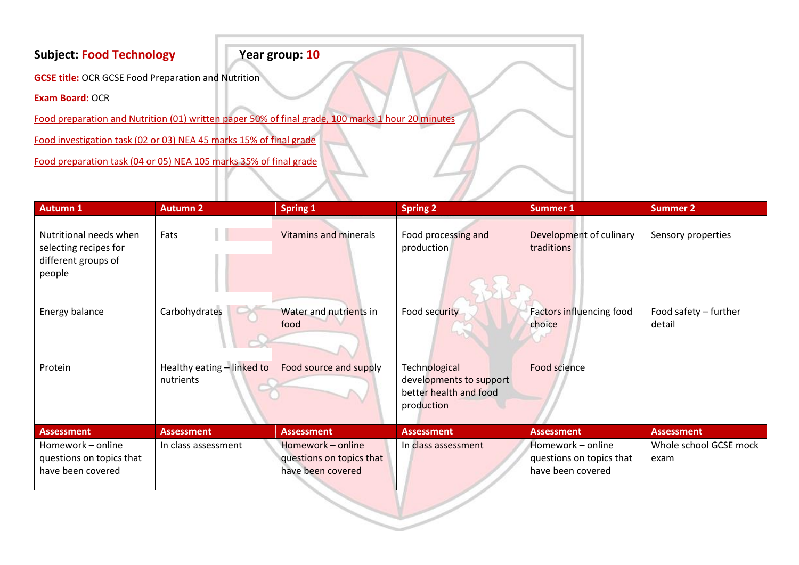# **Subject: Food Technology Year group: 10**

**GCSE title:** OCR GCSE Food Preparation and Nutrition

**Exam Board: OCR** 

Food preparation and Nutrition (01) written paper 50% of final grade, 100 marks 1 hour 20 minutes

Food investigation task (02 or 03) NEA 45 marks 15% of final grade

Food preparation task (04 or 05) NEA 105 marks 35% of final grade

| <b>Autumn 1</b>                                                                  | <b>Autumn 2</b>                         | <b>Spring 1</b>                                                    | <b>Spring 2</b>                                                                         | <b>Summer 1</b>                                                    | <b>Summer 2</b>                 |
|----------------------------------------------------------------------------------|-----------------------------------------|--------------------------------------------------------------------|-----------------------------------------------------------------------------------------|--------------------------------------------------------------------|---------------------------------|
| Nutritional needs when<br>selecting recipes for<br>different groups of<br>people | Fats                                    | <b>Vitamins and minerals</b>                                       | Food processing and<br>production                                                       | Development of culinary<br>traditions                              | Sensory properties              |
| Energy balance                                                                   | Carbohydrates                           | Water and nutrients in<br>food                                     | Food security                                                                           | Factors influencing food<br>choice                                 | Food safety – further<br>detail |
| Protein                                                                          | Healthy eating - linked to<br>nutrients | Food source and supply                                             | <b>Technological</b><br>developments to support<br>better health and food<br>production | Food science                                                       |                                 |
| <b>Assessment</b>                                                                | <b>Assessment</b>                       | <b>Assessment</b>                                                  | <b>Assessment</b>                                                                       | <b>Assessment</b>                                                  | <b>Assessment</b>               |
| Homework - online<br>questions on topics that<br>have been covered               | In class assessment                     | Homework - online<br>questions on topics that<br>have been covered | In class assessment                                                                     | Homework - online<br>questions on topics that<br>have been covered | Whole school GCSE mock<br>exam  |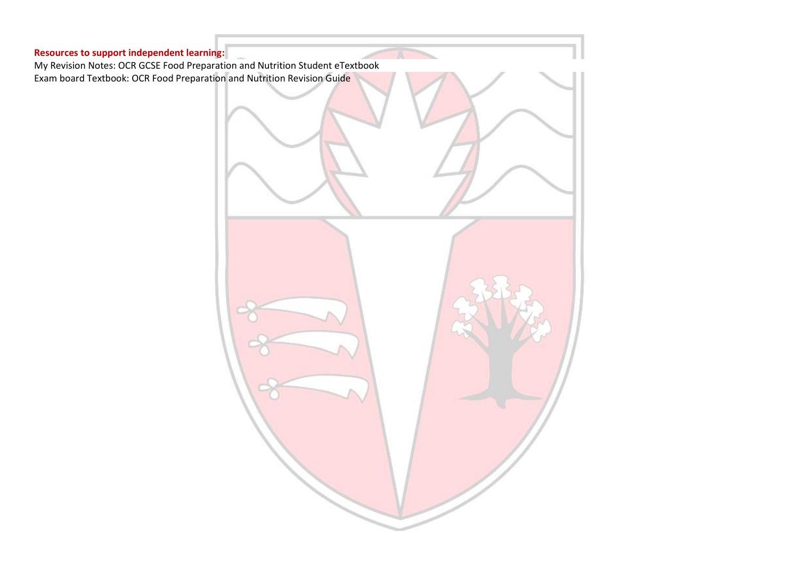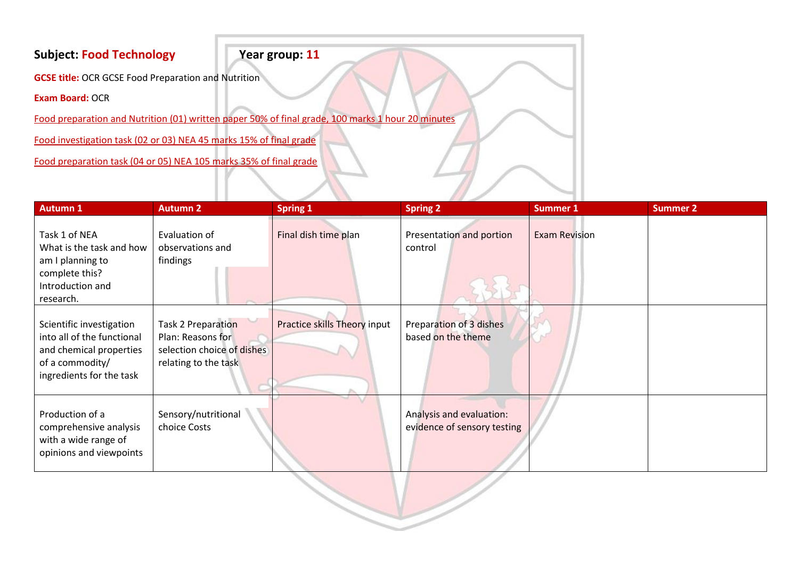# **Subject: Food Technology Year group: 11**

**GCSE title:** OCR GCSE Food Preparation and Nutrition

**Exam Board: OCR** 

Food preparation and Nutrition (01) written paper 50% of final grade, 100 marks 1 hour 20 minutes

Food investigation task (02 or 03) NEA 45 marks 15% of final grade

Food preparation task (04 or 05) NEA 105 marks 35% of final grade

| <b>Autumn 1</b>                                                                                                                  | <b>Autumn 2</b>                                                                                      | <b>Spring 1</b>              | <b>Spring 2</b>                                         | <b>Summer 1</b>      | <b>Summer 2</b> |
|----------------------------------------------------------------------------------------------------------------------------------|------------------------------------------------------------------------------------------------------|------------------------------|---------------------------------------------------------|----------------------|-----------------|
| Task 1 of NEA<br>What is the task and how<br>am I planning to<br>complete this?<br>Introduction and<br>research.                 | Evaluation of<br>observations and<br>findings                                                        | Final dish time plan         | Presentation and portion<br>control                     | <b>Exam Revision</b> |                 |
| Scientific investigation<br>into all of the functional<br>and chemical properties<br>of a commodity/<br>ingredients for the task | <b>Task 2 Preparation</b><br>Plan: Reasons for<br>selection choice of dishes<br>relating to the task | Practice skills Theory input | Preparation of 3 dishes<br>based on the theme           |                      |                 |
| Production of a<br>comprehensive analysis<br>with a wide range of<br>opinions and viewpoints                                     | Sensory/nutritional<br>choice Costs                                                                  |                              | Analysis and evaluation:<br>evidence of sensory testing |                      |                 |